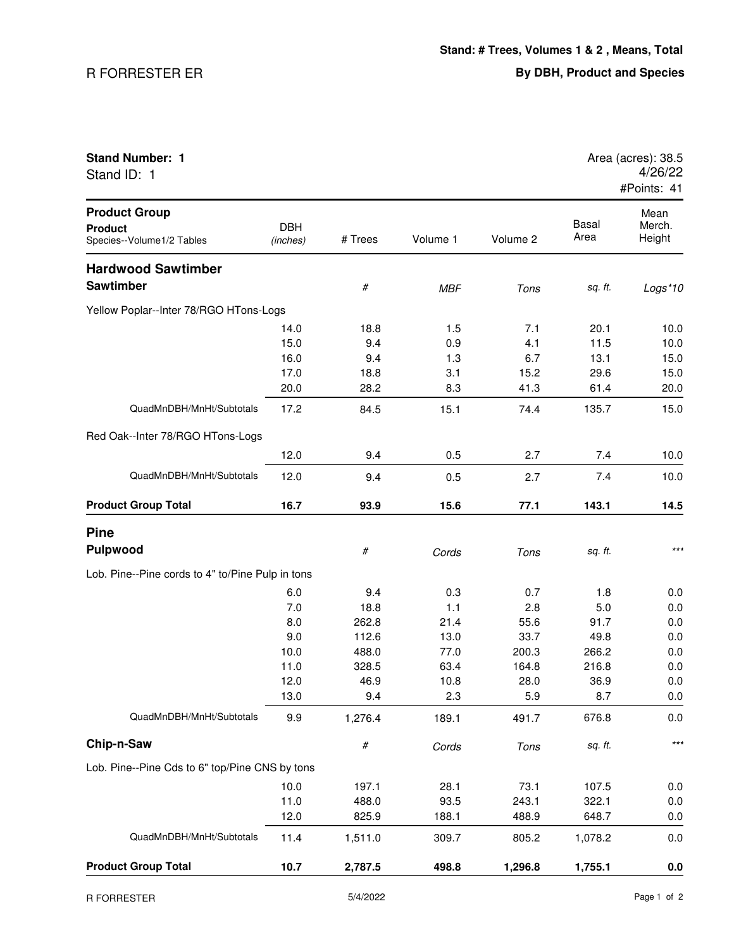## R FORRESTER ER

| <b>Stand Number: 1</b><br>Stand ID: 1                               |                        |         |            |          |                      | Area (acres): 38.5<br>4/26/22<br>#Points: 41 |
|---------------------------------------------------------------------|------------------------|---------|------------|----------|----------------------|----------------------------------------------|
| <b>Product Group</b><br><b>Product</b><br>Species--Volume1/2 Tables | <b>DBH</b><br>(inches) | # Trees | Volume 1   | Volume 2 | <b>Basal</b><br>Area | Mean<br>Merch.<br>Height                     |
| <b>Hardwood Sawtimber</b>                                           |                        |         |            |          |                      |                                              |
| <b>Sawtimber</b>                                                    |                        | $\#$    | <b>MBF</b> | Tons     | sq. ft.              | Logs*10                                      |
| Yellow Poplar--Inter 78/RGO HTons-Logs                              |                        |         |            |          |                      |                                              |
|                                                                     | 14.0                   | 18.8    | 1.5        | 7.1      | 20.1                 | 10.0                                         |
|                                                                     | 15.0                   | 9.4     | 0.9        | 4.1      | 11.5                 | 10.0                                         |
|                                                                     | 16.0                   | 9.4     | 1.3        | 6.7      | 13.1                 | 15.0                                         |
|                                                                     | 17.0                   | 18.8    | 3.1        | 15.2     | 29.6                 | 15.0                                         |
|                                                                     | 20.0                   | 28.2    | 8.3        | 41.3     | 61.4                 | 20.0                                         |
| QuadMnDBH/MnHt/Subtotals                                            | 17.2                   | 84.5    | 15.1       | 74.4     | 135.7                | 15.0                                         |
| Red Oak--Inter 78/RGO HTons-Logs                                    |                        |         |            |          |                      |                                              |
|                                                                     | 12.0                   | 9.4     | 0.5        | 2.7      | 7.4                  | 10.0                                         |
| QuadMnDBH/MnHt/Subtotals                                            | 12.0                   | 9.4     | 0.5        | 2.7      | 7.4                  | 10.0                                         |
| <b>Product Group Total</b>                                          | 16.7                   | 93.9    | 15.6       | 77.1     | 143.1                | 14.5                                         |
| <b>Pine</b>                                                         |                        |         |            |          |                      |                                              |
| <b>Pulpwood</b>                                                     |                        | $\#$    | Cords      | Tons     | sq. ft.              | $***$                                        |
| Lob. Pine--Pine cords to 4" to/Pine Pulp in tons                    |                        |         |            |          |                      |                                              |
|                                                                     | 6.0                    | 9.4     | 0.3        | 0.7      | 1.8                  | 0.0                                          |
|                                                                     | 7.0                    | 18.8    | 1.1        | 2.8      | 5.0                  | 0.0                                          |
|                                                                     | 8.0                    | 262.8   | 21.4       | 55.6     | 91.7                 | 0.0                                          |
|                                                                     | 9.0                    | 112.6   | 13.0       | 33.7     | 49.8                 | 0.0                                          |
|                                                                     | 10.0                   | 488.0   | 77.0       | 200.3    | 266.2                | 0.0                                          |
|                                                                     | 11.0                   | 328.5   | 63.4       | 164.8    | 216.8                | 0.0                                          |
|                                                                     | 12.0                   | 46.9    | 10.8       | 28.0     | 36.9                 | 0.0                                          |
|                                                                     | 13.0                   | 9.4     | 2.3        | 5.9      | 8.7                  | 0.0                                          |
| QuadMnDBH/MnHt/Subtotals                                            | 9.9                    | 1,276.4 | 189.1      | 491.7    | 676.8                | 0.0                                          |
| Chip-n-Saw                                                          |                        | $\#$    | Cords      | Tons     | sq. ft.              | $***$                                        |
| Lob. Pine--Pine Cds to 6" top/Pine CNS by tons                      |                        |         |            |          |                      |                                              |
|                                                                     | 10.0                   | 197.1   | 28.1       | 73.1     | 107.5                | 0.0                                          |
|                                                                     | 11.0                   | 488.0   | 93.5       | 243.1    | 322.1                | 0.0                                          |
|                                                                     | 12.0                   | 825.9   | 188.1      | 488.9    | 648.7                | 0.0                                          |
| QuadMnDBH/MnHt/Subtotals                                            | 11.4                   | 1,511.0 | 309.7      | 805.2    | 1,078.2              | 0.0                                          |
| <b>Product Group Total</b>                                          | 10.7                   | 2,787.5 | 498.8      | 1,296.8  | 1,755.1              | 0.0                                          |